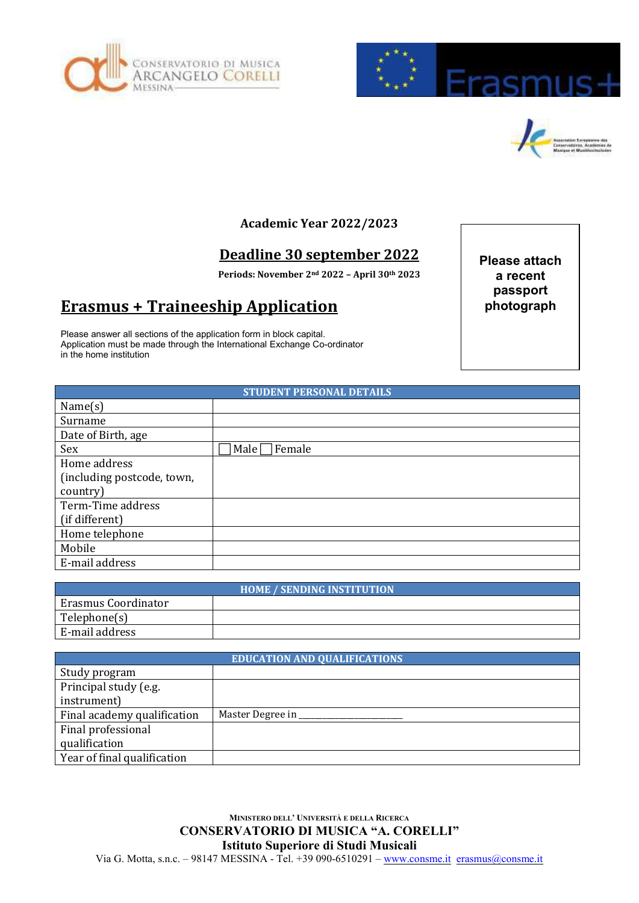





## **Academic Year 2022/2023**

## **Deadline 30 september 2022**

**Periods: November 2nd 2022 – April 30th 2023**

## **Erasmus + Traineeship Application**

Please answer all sections of the application form in block capital. Application must be made through the International Exchange Co-ordinator in the home institution

**Please attach a recent passport photograph**

|                            | <b>STUDENT PERSONAL DETAILS</b> |
|----------------------------|---------------------------------|
| Name(s)                    |                                 |
| Surname                    |                                 |
| Date of Birth, age         |                                 |
| Sex                        | Male  <br>Female                |
| Home address               |                                 |
| (including postcode, town, |                                 |
| country)                   |                                 |
| Term-Time address          |                                 |
| (if different)             |                                 |
| Home telephone             |                                 |
| Mobile                     |                                 |
| E-mail address             |                                 |

| <b>HOME / SENDING INSTITUTION</b> |  |  |
|-----------------------------------|--|--|
| Erasmus Coordinator               |  |  |
| Telephone(s)                      |  |  |
| E-mail address                    |  |  |

| <b>EDUCATION AND QUALIFICATIONS</b> |                  |  |
|-------------------------------------|------------------|--|
| Study program                       |                  |  |
| Principal study (e.g.               |                  |  |
| instrument)                         |                  |  |
| Final academy qualification         | Master Degree in |  |
| Final professional                  |                  |  |
| qualification                       |                  |  |
| Year of final qualification         |                  |  |

**MINISTERO DELL' UNIVERSITÀ E DELLA RICERCA CONSERVATORIO DI MUSICA "A. CORELLI" Istituto Superiore di Studi Musicali** Via G. Motta, s.n.c. – 98147 MESSINA - Tel. +39 090-6510291 – [www.consme.it](http://www.consme.it/) erasmus@consme.it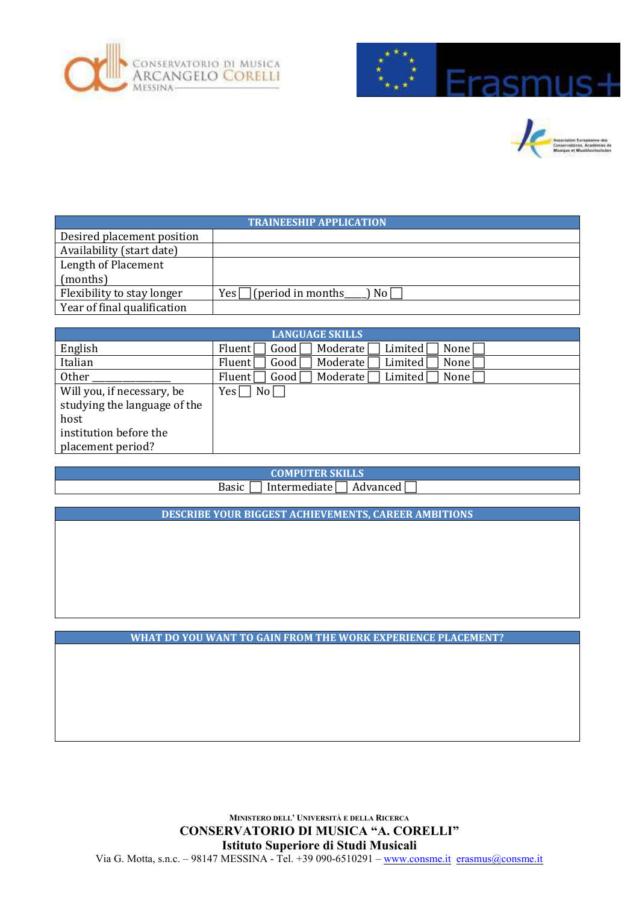





| <b>TRAINEESHIP APPLICATION</b> |                                               |  |
|--------------------------------|-----------------------------------------------|--|
| Desired placement position     |                                               |  |
| Availability (start date)      |                                               |  |
| Length of Placement            |                                               |  |
| (months)                       |                                               |  |
| Flexibility to stay longer     | $\lceil$ (period in months<br>) No I<br>Yes l |  |
| Year of final qualification    |                                               |  |

| <b>LANGUAGE SKILLS</b>       |                                                                          |  |
|------------------------------|--------------------------------------------------------------------------|--|
| English                      | Moderate<br>None<br>Good<br>Limited<br>Fluent                            |  |
| Italian                      | Moderate<br>Limited<br>Good [<br>None<br>Fluent                          |  |
| <b>Other</b>                 | Moderate<br>Limited <sup>[</sup><br>Good[<br>None<br>Fluent <sup>[</sup> |  |
| Will you, if necessary, be   | No <sub>l</sub><br>Yes [                                                 |  |
| studying the language of the |                                                                          |  |
| host                         |                                                                          |  |
| institution before the       |                                                                          |  |
| placement period?            |                                                                          |  |

**COMPUTER SKILLS**

Basic  $\Box$  Intermediate  $\Box$  Advanced  $\Box$ 

**DESCRIBE YOUR BIGGEST ACHIEVEMENTS, CAREER AMBITIONS**

**WHAT DO YOU WANT TO GAIN FROM THE WORK EXPERIENCE PLACEMENT?**

**MINISTERO DELL' UNIVERSITÀ E DELLA RICERCA CONSERVATORIO DI MUSICA "A. CORELLI" Istituto Superiore di Studi Musicali** Via G. Motta, s.n.c. – 98147 MESSINA - Tel. +39 090-6510291 – [www.consme.it](http://www.consme.it/) erasmus@consme.it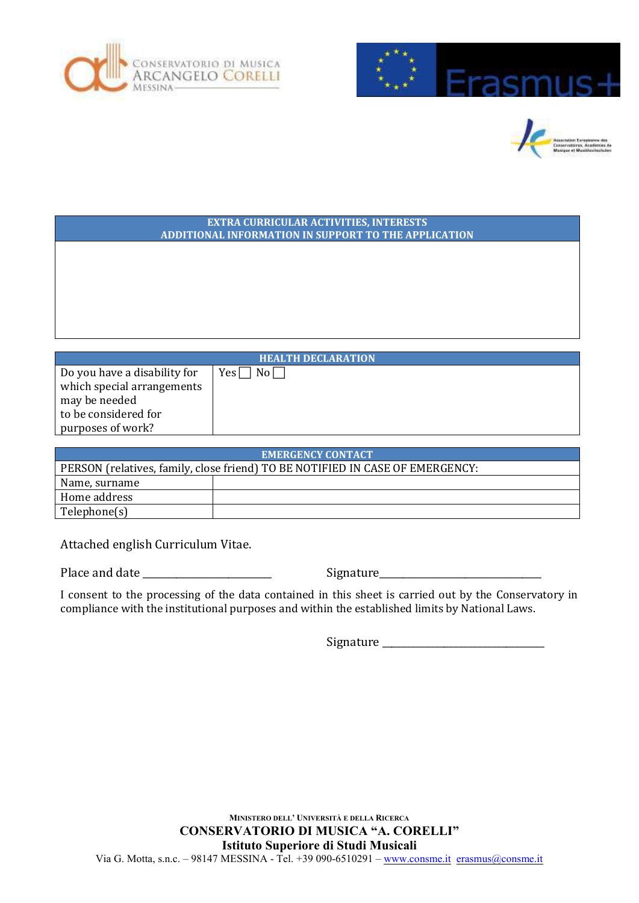





| <b>EXTRA CURRICULAR ACTIVITIES, INTERESTS</b><br>ADDITIONAL INFORMATION IN SUPPORT TO THE APPLICATION |                         |  |
|-------------------------------------------------------------------------------------------------------|-------------------------|--|
|                                                                                                       |                         |  |
|                                                                                                       |                         |  |
|                                                                                                       |                         |  |
|                                                                                                       |                         |  |
|                                                                                                       |                         |  |
|                                                                                                       |                         |  |
| <b>HEALTH DECLARATION</b>                                                                             |                         |  |
| Do you have a disability for                                                                          | $Yes \Box$<br>$No \Box$ |  |
| which special arrangements<br>may be needed                                                           |                         |  |
| to be considered for                                                                                  |                         |  |

| <b>EMERGENCY CONTACT</b>                                                      |  |  |
|-------------------------------------------------------------------------------|--|--|
| PERSON (relatives, family, close friend) TO BE NOTIFIED IN CASE OF EMERGENCY: |  |  |
| Name, surname                                                                 |  |  |
| Home address                                                                  |  |  |
| Telephone(s)                                                                  |  |  |

Attached english Curriculum Vitae.

Place and date \_\_\_\_\_\_\_\_\_\_\_\_\_\_\_\_\_\_\_\_\_\_\_\_\_\_\_ Signature\_\_\_\_\_\_\_\_\_\_\_\_\_\_\_\_\_\_\_\_\_\_\_\_\_\_\_\_\_\_\_\_\_\_

purposes of work?

I consent to the processing of the data contained in this sheet is carried out by the Conservatory in compliance with the institutional purposes and within the established limits by National Laws.

Signature \_\_\_\_\_\_\_\_\_\_\_\_\_\_\_\_\_\_\_\_\_\_\_\_\_\_\_\_\_\_\_\_\_\_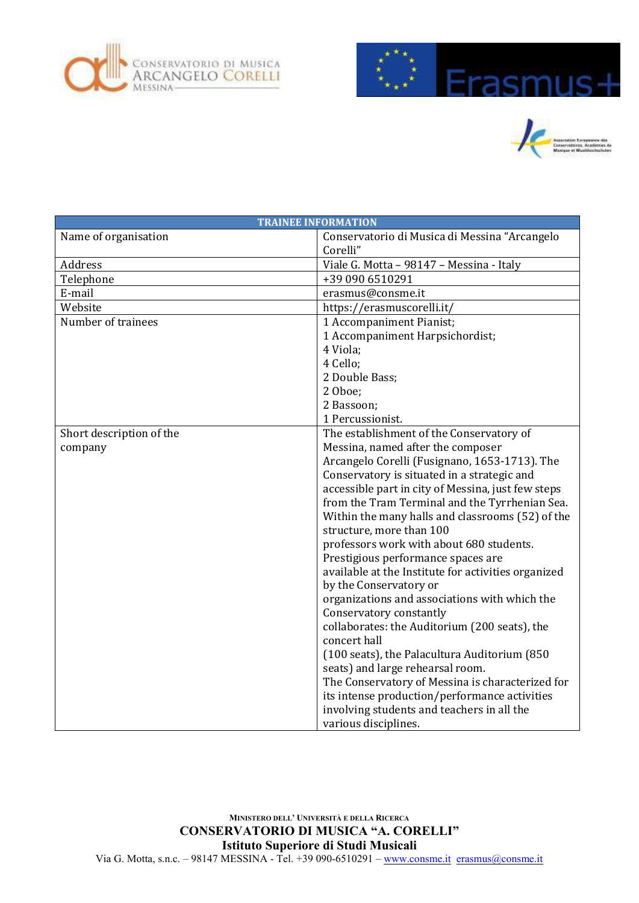





|                          | <b>TRAINEE INFORMATION</b>                          |
|--------------------------|-----------------------------------------------------|
| Name of organisation     | Conservatorio di Musica di Messina "Arcangelo       |
|                          | Corelli"                                            |
| Address                  | Viale G. Motta - 98147 - Messina - Italy            |
| Telephone                | +39 090 6510291                                     |
| E-mail                   | erasmus@consme.it                                   |
| Website                  | https://erasmuscorelli.it/                          |
| Number of trainees       | 1 Accompaniment Pianist;                            |
|                          | 1 Accompaniment Harpsichordist;                     |
|                          | 4 Viola;                                            |
|                          | 4 Cello;                                            |
|                          | 2 Double Bass;                                      |
|                          | 2 Oboe;                                             |
|                          | 2 Bassoon;                                          |
|                          | 1 Percussionist.                                    |
| Short description of the | The establishment of the Conservatory of            |
| company                  | Messina, named after the composer                   |
|                          | Arcangelo Corelli (Fusignano, 1653-1713). The       |
|                          | Conservatory is situated in a strategic and         |
|                          | accessible part in city of Messina, just few steps  |
|                          | from the Tram Terminal and the Tyrrhenian Sea.      |
|                          | Within the many halls and classrooms (52) of the    |
|                          | structure, more than 100                            |
|                          | professors work with about 680 students.            |
|                          | Prestigious performance spaces are                  |
|                          | available at the Institute for activities organized |
|                          | by the Conservatory or                              |
|                          | organizations and associations with which the       |
|                          | Conservatory constantly                             |
|                          | collaborates: the Auditorium (200 seats), the       |
|                          | concert hall                                        |
|                          | (100 seats), the Palacultura Auditorium (850        |
|                          | seats) and large rehearsal room.                    |
|                          | The Conservatory of Messina is characterized for    |
|                          | its intense production/performance activities       |
|                          | involving students and teachers in all the          |
|                          | various disciplines.                                |

**MINISTERO DELL' UNIVERSITÀ E DELLA RICERCA CONSERVATORIO DI MUSICA "A. CORELLI" Istituto Superiore di Studi Musicali** Via G. Motta, s.n.c. – 98147 MESSINA - Tel. +39 090-6510291 – [www.consme.it](http://www.consme.it/) erasmus@consme.it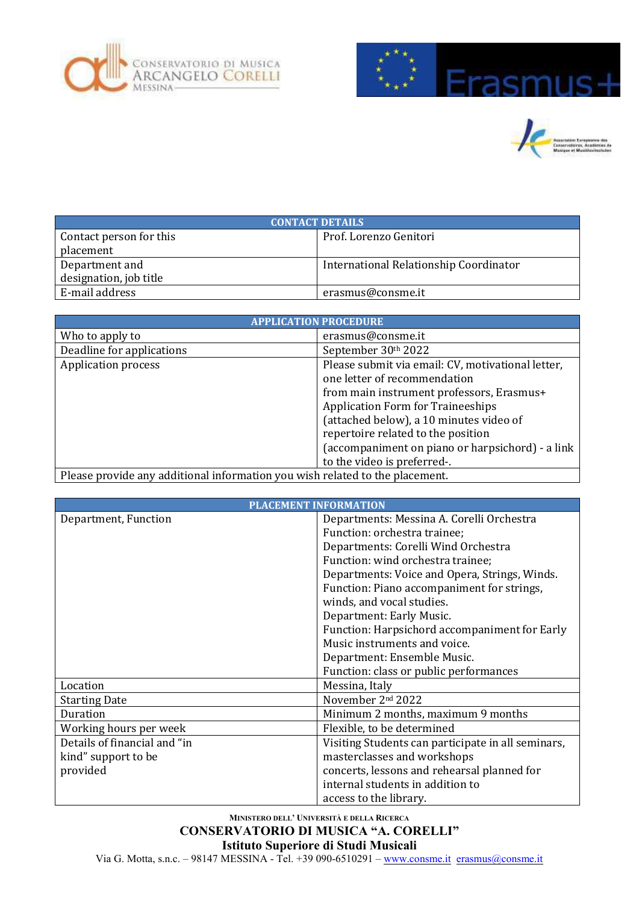





| <b>CONTACT DETAILS</b>  |                                        |  |
|-------------------------|----------------------------------------|--|
| Contact person for this | Prof. Lorenzo Genitori                 |  |
| placement               |                                        |  |
| Department and          | International Relationship Coordinator |  |
| designation, job title  |                                        |  |
| E-mail address          | erasmus@consme.it                      |  |

|                                                                              | <b>APPLICATION PROCEDURE</b>                                                      |
|------------------------------------------------------------------------------|-----------------------------------------------------------------------------------|
| Who to apply to                                                              | erasmus@consme.it                                                                 |
| Deadline for applications                                                    | September 30th 2022                                                               |
| <b>Application process</b>                                                   | Please submit via email: CV, motivational letter,<br>one letter of recommendation |
|                                                                              | from main instrument professors, Erasmus+                                         |
|                                                                              | <b>Application Form for Traineeships</b>                                          |
|                                                                              | (attached below), a 10 minutes video of                                           |
|                                                                              | repertoire related to the position                                                |
|                                                                              | (accompaniment on piano or harpsichord) - a link                                  |
|                                                                              | to the video is preferred-.                                                       |
| Please provide any additional information you wish related to the placement. |                                                                                   |

|                              | <b>PLACEMENT INFORMATION</b>                       |
|------------------------------|----------------------------------------------------|
| Department, Function         | Departments: Messina A. Corelli Orchestra          |
|                              | Function: orchestra trainee;                       |
|                              | Departments: Corelli Wind Orchestra                |
|                              | Function: wind orchestra trainee;                  |
|                              | Departments: Voice and Opera, Strings, Winds.      |
|                              | Function: Piano accompaniment for strings,         |
|                              | winds, and vocal studies.                          |
|                              | Department: Early Music.                           |
|                              | Function: Harpsichord accompaniment for Early      |
|                              | Music instruments and voice.                       |
|                              | Department: Ensemble Music.                        |
|                              | Function: class or public performances             |
| Location                     | Messina, Italy                                     |
| <b>Starting Date</b>         | November 2nd 2022                                  |
| <b>Duration</b>              | Minimum 2 months, maximum 9 months                 |
| Working hours per week       | Flexible, to be determined                         |
| Details of financial and "in | Visiting Students can participate in all seminars, |
| kind" support to be          | masterclasses and workshops                        |
| provided                     | concerts, lessons and rehearsal planned for        |
|                              | internal students in addition to                   |
|                              | access to the library.                             |

## **MINISTERO DELL' UNIVERSITÀ E DELLA RICERCA CONSERVATORIO DI MUSICA "A. CORELLI" Istituto Superiore di Studi Musicali**

Via G. Motta, s.n.c. – 98147 MESSINA - Tel. +39 090-6510291 – [www.consme.it](http://www.consme.it/) erasmus@consme.it